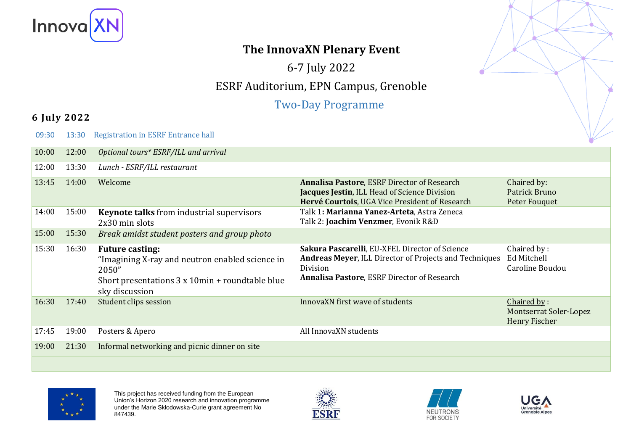

# **The InnovaXN Plenary Event**

6-7 July 2022

# ESRF Auditorium, EPN Campus, Grenoble

### Two-Day Programme

#### **6 July 2022**

09:3013:30Registration in ESRF Entrance hall

| 10:00 | 12:00 | Optional tours* ESRF/ILL and arrival                                                                                                                    |                                                                                                                                                                                   |                                                               |
|-------|-------|---------------------------------------------------------------------------------------------------------------------------------------------------------|-----------------------------------------------------------------------------------------------------------------------------------------------------------------------------------|---------------------------------------------------------------|
| 12:00 | 13:30 | Lunch - ESRF/ILL restaurant                                                                                                                             |                                                                                                                                                                                   |                                                               |
| 13:45 | 14:00 | Welcome                                                                                                                                                 | <b>Annalisa Pastore, ESRF Director of Research</b><br>Jacques Jestin, ILL Head of Science Division<br>Hervé Courtois, UGA Vice President of Research                              | Chaired by:<br>Patrick Bruno<br>Peter Fouquet                 |
| 14:00 | 15:00 | <b>Keynote talks</b> from industrial supervisors<br>2x30 min slots                                                                                      | Talk 1: Marianna Yanez-Arteta, Astra Zeneca<br>Talk 2: Joachim Venzmer, Evonik R&D                                                                                                |                                                               |
| 15:00 | 15:30 | Break amidst student posters and group photo                                                                                                            |                                                                                                                                                                                   |                                                               |
| 15:30 | 16:30 | <b>Future casting:</b><br>"Imagining X-ray and neutron enabled science in<br>2050"<br>Short presentations 3 x 10min + roundtable blue<br>sky discussion | Sakura Pascarelli, EU-XFEL Director of Science<br><b>Andreas Meyer, ILL Director of Projects and Techniques</b><br>Division<br><b>Annalisa Pastore, ESRF Director of Research</b> | Chaired by:<br>Ed Mitchell<br>Caroline Boudou                 |
| 16:30 | 17:40 | Student clips session                                                                                                                                   | InnovaXN first wave of students                                                                                                                                                   | Chaired by:<br><b>Montserrat Soler-Lopez</b><br>Henry Fischer |
| 17:45 | 19:00 | Posters & Apero                                                                                                                                         | All InnovaXN students                                                                                                                                                             |                                                               |
| 19:00 | 21:30 | Informal networking and picnic dinner on site                                                                                                           |                                                                                                                                                                                   |                                                               |
|       |       |                                                                                                                                                         |                                                                                                                                                                                   |                                                               |



This project has received funding from the European Union's Horizon 2020 research and innovation programme under the Marie Skłodowska-Curie grant agreement No 847439.